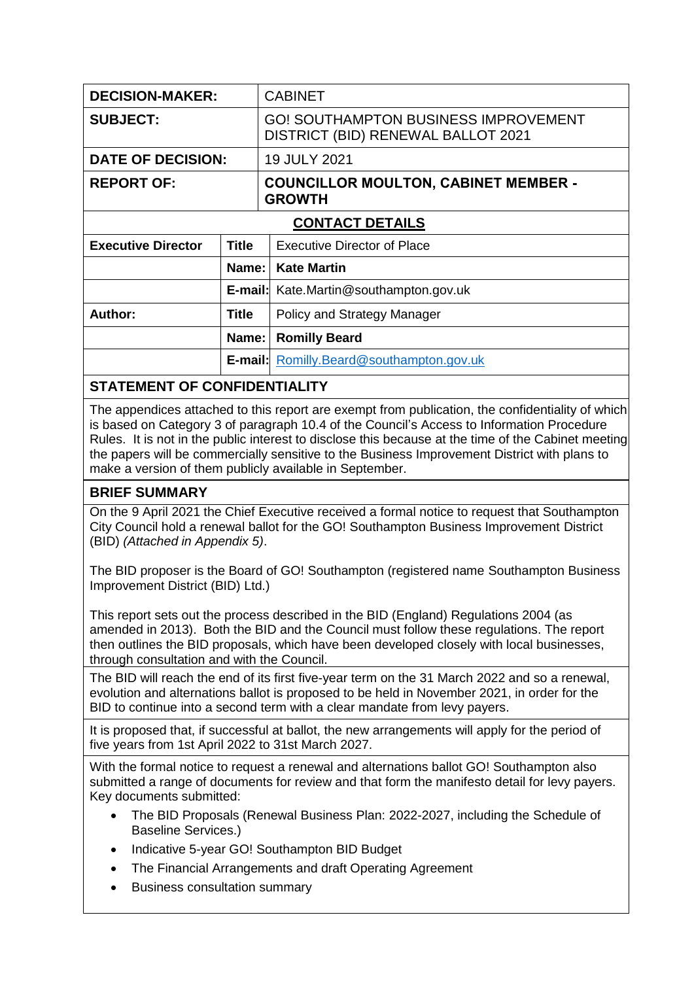| <b>DECISION-MAKER:</b>                                                                                                                                                                                                                                                                                                                                                                                                                                          |              | <b>CABINET</b>                                                                    |  |  |
|-----------------------------------------------------------------------------------------------------------------------------------------------------------------------------------------------------------------------------------------------------------------------------------------------------------------------------------------------------------------------------------------------------------------------------------------------------------------|--------------|-----------------------------------------------------------------------------------|--|--|
| <b>SUBJECT:</b>                                                                                                                                                                                                                                                                                                                                                                                                                                                 |              | <b>GO! SOUTHAMPTON BUSINESS IMPROVEMENT</b><br>DISTRICT (BID) RENEWAL BALLOT 2021 |  |  |
| <b>DATE OF DECISION:</b>                                                                                                                                                                                                                                                                                                                                                                                                                                        |              | 19 JULY 2021                                                                      |  |  |
| <b>REPORT OF:</b>                                                                                                                                                                                                                                                                                                                                                                                                                                               |              | <b>COUNCILLOR MOULTON, CABINET MEMBER -</b><br><b>GROWTH</b>                      |  |  |
|                                                                                                                                                                                                                                                                                                                                                                                                                                                                 |              | <b>CONTACT DETAILS</b>                                                            |  |  |
| <b>Executive Director</b>                                                                                                                                                                                                                                                                                                                                                                                                                                       | <b>Title</b> | <b>Executive Director of Place</b>                                                |  |  |
|                                                                                                                                                                                                                                                                                                                                                                                                                                                                 |              | Name:   Kate Martin                                                               |  |  |
|                                                                                                                                                                                                                                                                                                                                                                                                                                                                 |              | <b>E-mail:</b> Kate.Martin@southampton.gov.uk                                     |  |  |
| Author:                                                                                                                                                                                                                                                                                                                                                                                                                                                         | <b>Title</b> | Policy and Strategy Manager                                                       |  |  |
| Name:                                                                                                                                                                                                                                                                                                                                                                                                                                                           |              | <b>Romilly Beard</b>                                                              |  |  |
|                                                                                                                                                                                                                                                                                                                                                                                                                                                                 |              | <b>E-mail:</b> Romilly.Beard@southampton.gov.uk                                   |  |  |
| <b>STATEMENT OF CONFIDENTIALITY</b>                                                                                                                                                                                                                                                                                                                                                                                                                             |              |                                                                                   |  |  |
| The appendices attached to this report are exempt from publication, the confidentiality of which<br>is based on Category 3 of paragraph 10.4 of the Council's Access to Information Procedure<br>Rules. It is not in the public interest to disclose this because at the time of the Cabinet meeting<br>the papers will be commercially sensitive to the Business Improvement District with plans to<br>make a version of them publicly available in September. |              |                                                                                   |  |  |
| <b>BRIEF SUMMARY</b>                                                                                                                                                                                                                                                                                                                                                                                                                                            |              |                                                                                   |  |  |
| On the 9 April 2021 the Chief Executive received a formal notice to request that Southampton<br>City Council hold a renewal ballot for the GO! Southampton Business Improvement District<br>(BID) (Attached in Appendix 5).                                                                                                                                                                                                                                     |              |                                                                                   |  |  |
| The BID proposer is the Board of GO! Southampton (registered name Southampton Business<br>Improvement District (BID) Ltd.)                                                                                                                                                                                                                                                                                                                                      |              |                                                                                   |  |  |
| This report sets out the process described in the BID (England) Regulations 2004 (as<br>amended in 2013). Both the BID and the Council must follow these regulations. The report<br>then outlines the BID proposals, which have been developed closely with local businesses,<br>through consultation and with the Council.                                                                                                                                     |              |                                                                                   |  |  |

The BID will reach the end of its first five-year term on the 31 March 2022 and so a renewal, evolution and alternations ballot is proposed to be held in November 2021, in order for the BID to continue into a second term with a clear mandate from levy payers.

It is proposed that, if successful at ballot, the new arrangements will apply for the period of five years from 1st April 2022 to 31st March 2027.

With the formal notice to request a renewal and alternations ballot GO! Southampton also submitted a range of documents for review and that form the manifesto detail for levy payers. Key documents submitted:

- The BID Proposals (Renewal Business Plan: 2022-2027, including the Schedule of Baseline Services.)
- Indicative 5-year GO! Southampton BID Budget
- The Financial Arrangements and draft Operating Agreement
- Business consultation summary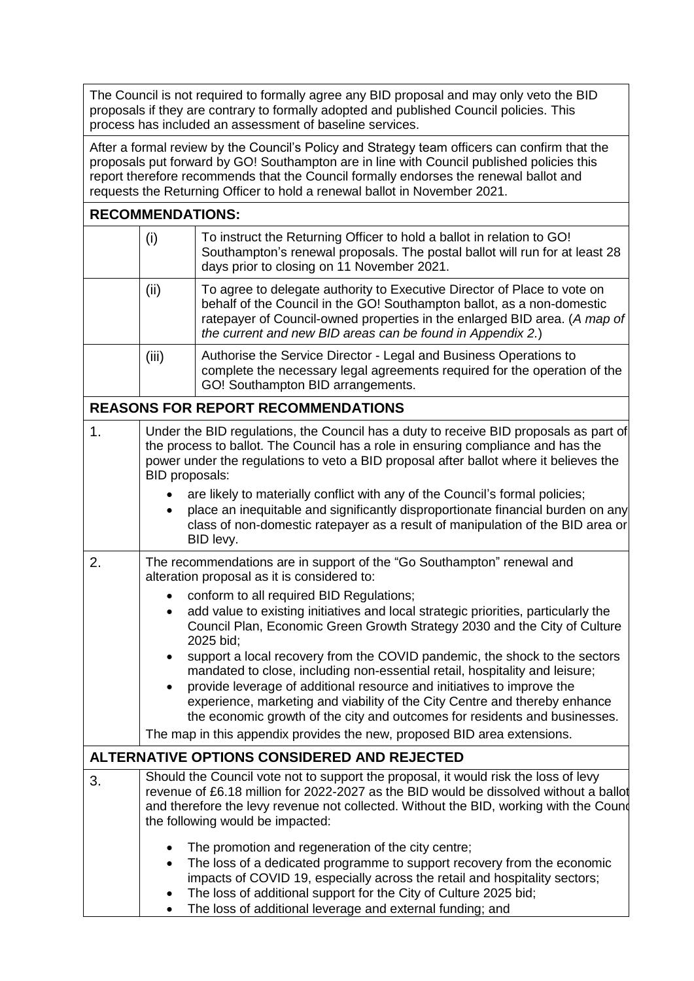The Council is not required to formally agree any BID proposal and may only veto the BID proposals if they are contrary to formally adopted and published Council policies. This process has included an assessment of baseline services.

After a formal review by the Council's Policy and Strategy team officers can confirm that the proposals put forward by GO! Southampton are in line with Council published policies this report therefore recommends that the Council formally endorses the renewal ballot and requests the Returning Officer to hold a renewal ballot in November 2021.

|    | <b>RECOMMENDATIONS:</b>                                                                                                                                                                                                                                                                               |                                                                                                                                                                                                                                                                                                                                                                                                                                                                             |  |  |  |
|----|-------------------------------------------------------------------------------------------------------------------------------------------------------------------------------------------------------------------------------------------------------------------------------------------------------|-----------------------------------------------------------------------------------------------------------------------------------------------------------------------------------------------------------------------------------------------------------------------------------------------------------------------------------------------------------------------------------------------------------------------------------------------------------------------------|--|--|--|
|    | (i)                                                                                                                                                                                                                                                                                                   | To instruct the Returning Officer to hold a ballot in relation to GO!<br>Southampton's renewal proposals. The postal ballot will run for at least 28<br>days prior to closing on 11 November 2021.                                                                                                                                                                                                                                                                          |  |  |  |
|    | To agree to delegate authority to Executive Director of Place to vote on<br>(ii)<br>behalf of the Council in the GO! Southampton ballot, as a non-domestic<br>ratepayer of Council-owned properties in the enlarged BID area. (A map of<br>the current and new BID areas can be found in Appendix 2.) |                                                                                                                                                                                                                                                                                                                                                                                                                                                                             |  |  |  |
|    | (iii)                                                                                                                                                                                                                                                                                                 | Authorise the Service Director - Legal and Business Operations to<br>complete the necessary legal agreements required for the operation of the<br>GO! Southampton BID arrangements.                                                                                                                                                                                                                                                                                         |  |  |  |
|    |                                                                                                                                                                                                                                                                                                       | <b>REASONS FOR REPORT RECOMMENDATIONS</b>                                                                                                                                                                                                                                                                                                                                                                                                                                   |  |  |  |
| 1. | Under the BID regulations, the Council has a duty to receive BID proposals as part of<br>the process to ballot. The Council has a role in ensuring compliance and has the<br>power under the regulations to veto a BID proposal after ballot where it believes the<br>BID proposals:                  |                                                                                                                                                                                                                                                                                                                                                                                                                                                                             |  |  |  |
|    |                                                                                                                                                                                                                                                                                                       | are likely to materially conflict with any of the Council's formal policies;<br>place an inequitable and significantly disproportionate financial burden on any<br>class of non-domestic ratepayer as a result of manipulation of the BID area or<br>BID levy.                                                                                                                                                                                                              |  |  |  |
| 2. | The recommendations are in support of the "Go Southampton" renewal and<br>alteration proposal as it is considered to:                                                                                                                                                                                 |                                                                                                                                                                                                                                                                                                                                                                                                                                                                             |  |  |  |
|    | $\bullet$<br>$\bullet$                                                                                                                                                                                                                                                                                | conform to all required BID Regulations;<br>add value to existing initiatives and local strategic priorities, particularly the<br>Council Plan, Economic Green Growth Strategy 2030 and the City of Culture<br>2025 bid;                                                                                                                                                                                                                                                    |  |  |  |
|    | ٠<br>$\bullet$                                                                                                                                                                                                                                                                                        | support a local recovery from the COVID pandemic, the shock to the sectors<br>mandated to close, including non-essential retail, hospitality and leisure;<br>provide leverage of additional resource and initiatives to improve the<br>experience, marketing and viability of the City Centre and thereby enhance<br>the economic growth of the city and outcomes for residents and businesses.<br>The map in this appendix provides the new, proposed BID area extensions. |  |  |  |
|    |                                                                                                                                                                                                                                                                                                       | ALTERNATIVE OPTIONS CONSIDERED AND REJECTED                                                                                                                                                                                                                                                                                                                                                                                                                                 |  |  |  |
| 3. |                                                                                                                                                                                                                                                                                                       | Should the Council vote not to support the proposal, it would risk the loss of levy<br>revenue of £6.18 million for 2022-2027 as the BID would be dissolved without a ballot<br>and therefore the levy revenue not collected. Without the BID, working with the Cound<br>the following would be impacted:                                                                                                                                                                   |  |  |  |
|    | $\bullet$<br>$\bullet$                                                                                                                                                                                                                                                                                | The promotion and regeneration of the city centre;<br>The loss of a dedicated programme to support recovery from the economic<br>impacts of COVID 19, especially across the retail and hospitality sectors;<br>The loss of additional support for the City of Culture 2025 bid;                                                                                                                                                                                             |  |  |  |

The loss of additional leverage and external funding; and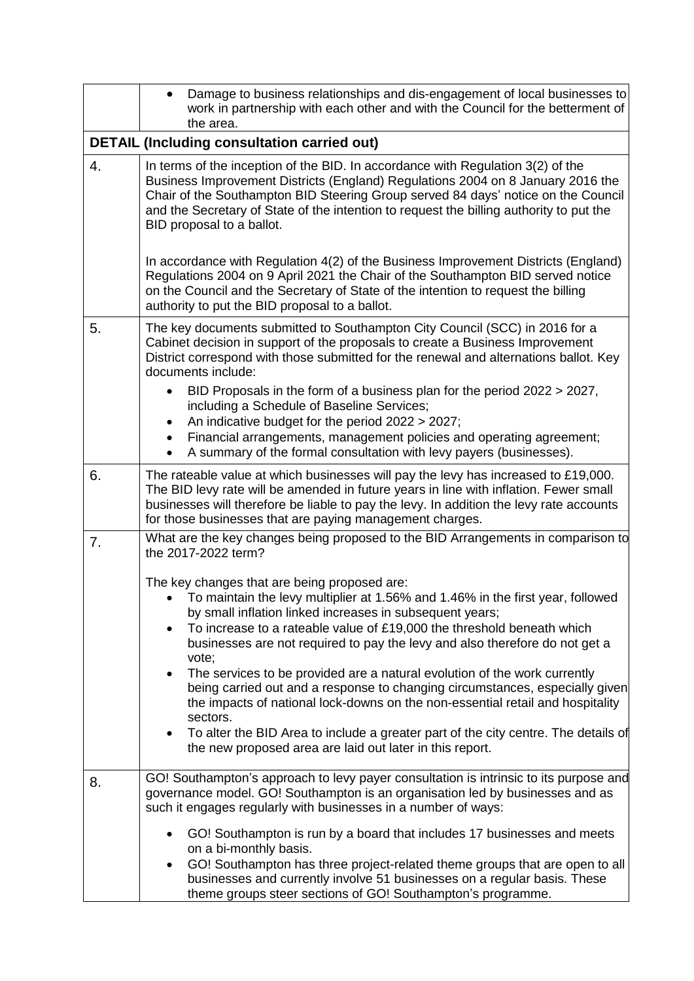|    | Damage to business relationships and dis-engagement of local businesses to<br>$\bullet$<br>work in partnership with each other and with the Council for the betterment of<br>the area.                                                                                                                                                                                          |  |  |  |  |
|----|---------------------------------------------------------------------------------------------------------------------------------------------------------------------------------------------------------------------------------------------------------------------------------------------------------------------------------------------------------------------------------|--|--|--|--|
|    | <b>DETAIL (Including consultation carried out)</b>                                                                                                                                                                                                                                                                                                                              |  |  |  |  |
| 4. | In terms of the inception of the BID. In accordance with Regulation 3(2) of the<br>Business Improvement Districts (England) Regulations 2004 on 8 January 2016 the<br>Chair of the Southampton BID Steering Group served 84 days' notice on the Council<br>and the Secretary of State of the intention to request the billing authority to put the<br>BID proposal to a ballot. |  |  |  |  |
|    | In accordance with Regulation 4(2) of the Business Improvement Districts (England)<br>Regulations 2004 on 9 April 2021 the Chair of the Southampton BID served notice<br>on the Council and the Secretary of State of the intention to request the billing<br>authority to put the BID proposal to a ballot.                                                                    |  |  |  |  |
| 5. | The key documents submitted to Southampton City Council (SCC) in 2016 for a<br>Cabinet decision in support of the proposals to create a Business Improvement<br>District correspond with those submitted for the renewal and alternations ballot. Key<br>documents include:<br>BID Proposals in the form of a business plan for the period 2022 > 2027,                         |  |  |  |  |
|    | including a Schedule of Baseline Services;                                                                                                                                                                                                                                                                                                                                      |  |  |  |  |
|    | An indicative budget for the period 2022 > 2027;<br>Financial arrangements, management policies and operating agreement;                                                                                                                                                                                                                                                        |  |  |  |  |
|    | A summary of the formal consultation with levy payers (businesses).                                                                                                                                                                                                                                                                                                             |  |  |  |  |
| 6. | The rateable value at which businesses will pay the levy has increased to £19,000.<br>The BID levy rate will be amended in future years in line with inflation. Fewer small<br>businesses will therefore be liable to pay the levy. In addition the levy rate accounts<br>for those businesses that are paying management charges.                                              |  |  |  |  |
| 7. | What are the key changes being proposed to the BID Arrangements in comparison to<br>the 2017-2022 term?                                                                                                                                                                                                                                                                         |  |  |  |  |
|    | The key changes that are being proposed are:<br>To maintain the levy multiplier at 1.56% and 1.46% in the first year, followed<br>by small inflation linked increases in subsequent years;<br>To increase to a rateable value of £19,000 the threshold beneath which<br>$\bullet$<br>businesses are not required to pay the levy and also therefore do not get a<br>vote;       |  |  |  |  |
|    | The services to be provided are a natural evolution of the work currently<br>$\bullet$<br>being carried out and a response to changing circumstances, especially given<br>the impacts of national lock-downs on the non-essential retail and hospitality<br>sectors.                                                                                                            |  |  |  |  |
|    | To alter the BID Area to include a greater part of the city centre. The details of<br>٠<br>the new proposed area are laid out later in this report.                                                                                                                                                                                                                             |  |  |  |  |
| 8. | GO! Southampton's approach to levy payer consultation is intrinsic to its purpose and<br>governance model. GO! Southampton is an organisation led by businesses and as<br>such it engages regularly with businesses in a number of ways:                                                                                                                                        |  |  |  |  |
|    | GO! Southampton is run by a board that includes 17 businesses and meets<br>on a bi-monthly basis.<br>GO! Southampton has three project-related theme groups that are open to all<br>businesses and currently involve 51 businesses on a regular basis. These<br>theme groups steer sections of GO! Southampton's programme.                                                     |  |  |  |  |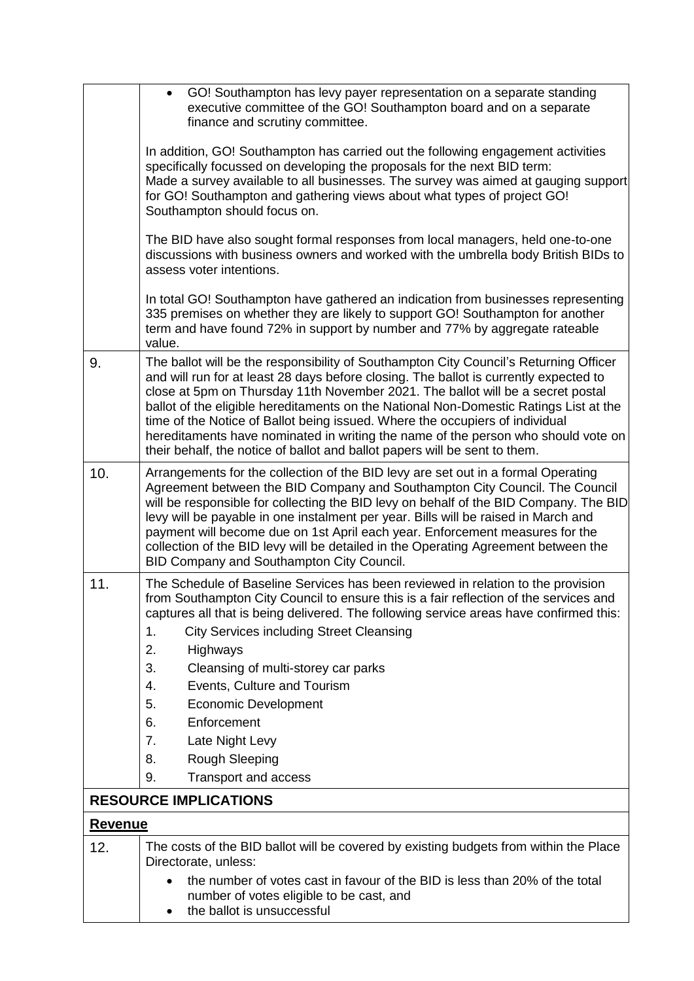|                              | • GO! Southampton has levy payer representation on a separate standing<br>executive committee of the GO! Southampton board and on a separate<br>finance and scrutiny committee.                                                                                                                                                                                                                                                                                                                                                                                                                               |  |  |  |  |
|------------------------------|---------------------------------------------------------------------------------------------------------------------------------------------------------------------------------------------------------------------------------------------------------------------------------------------------------------------------------------------------------------------------------------------------------------------------------------------------------------------------------------------------------------------------------------------------------------------------------------------------------------|--|--|--|--|
|                              | In addition, GO! Southampton has carried out the following engagement activities<br>specifically focussed on developing the proposals for the next BID term:<br>Made a survey available to all businesses. The survey was aimed at gauging support<br>for GO! Southampton and gathering views about what types of project GO!<br>Southampton should focus on.                                                                                                                                                                                                                                                 |  |  |  |  |
|                              | The BID have also sought formal responses from local managers, held one-to-one<br>discussions with business owners and worked with the umbrella body British BIDs to<br>assess voter intentions.                                                                                                                                                                                                                                                                                                                                                                                                              |  |  |  |  |
|                              | In total GO! Southampton have gathered an indication from businesses representing<br>335 premises on whether they are likely to support GO! Southampton for another<br>term and have found 72% in support by number and 77% by aggregate rateable<br>value.                                                                                                                                                                                                                                                                                                                                                   |  |  |  |  |
| 9.                           | The ballot will be the responsibility of Southampton City Council's Returning Officer<br>and will run for at least 28 days before closing. The ballot is currently expected to<br>close at 5pm on Thursday 11th November 2021. The ballot will be a secret postal<br>ballot of the eligible hereditaments on the National Non-Domestic Ratings List at the<br>time of the Notice of Ballot being issued. Where the occupiers of individual<br>hereditaments have nominated in writing the name of the person who should vote on<br>their behalf, the notice of ballot and ballot papers will be sent to them. |  |  |  |  |
| 10.                          | Arrangements for the collection of the BID levy are set out in a formal Operating<br>Agreement between the BID Company and Southampton City Council. The Council<br>will be responsible for collecting the BID levy on behalf of the BID Company. The BID<br>levy will be payable in one instalment per year. Bills will be raised in March and<br>payment will become due on 1st April each year. Enforcement measures for the<br>collection of the BID levy will be detailed in the Operating Agreement between the<br>BID Company and Southampton City Council.                                            |  |  |  |  |
| 11.                          | The Schedule of Baseline Services has been reviewed in relation to the provision<br>from Southampton City Council to ensure this is a fair reflection of the services and<br>captures all that is being delivered. The following service areas have confirmed this:<br><b>City Services including Street Cleansing</b><br>1.<br>2.<br>Highways<br>3.<br>Cleansing of multi-storey car parks<br>Events, Culture and Tourism<br>4.<br>5.<br><b>Economic Development</b><br>6.<br>Enforcement<br>7.<br>Late Night Levy<br>8.<br>Rough Sleeping<br>9.<br>Transport and access                                     |  |  |  |  |
| <b>RESOURCE IMPLICATIONS</b> |                                                                                                                                                                                                                                                                                                                                                                                                                                                                                                                                                                                                               |  |  |  |  |
| <b>Revenue</b>               |                                                                                                                                                                                                                                                                                                                                                                                                                                                                                                                                                                                                               |  |  |  |  |
| 12.                          | The costs of the BID ballot will be covered by existing budgets from within the Place<br>Directorate, unless:                                                                                                                                                                                                                                                                                                                                                                                                                                                                                                 |  |  |  |  |
|                              | the number of votes cast in favour of the BID is less than 20% of the total<br>number of votes eligible to be cast, and<br>the ballot is unsuccessful                                                                                                                                                                                                                                                                                                                                                                                                                                                         |  |  |  |  |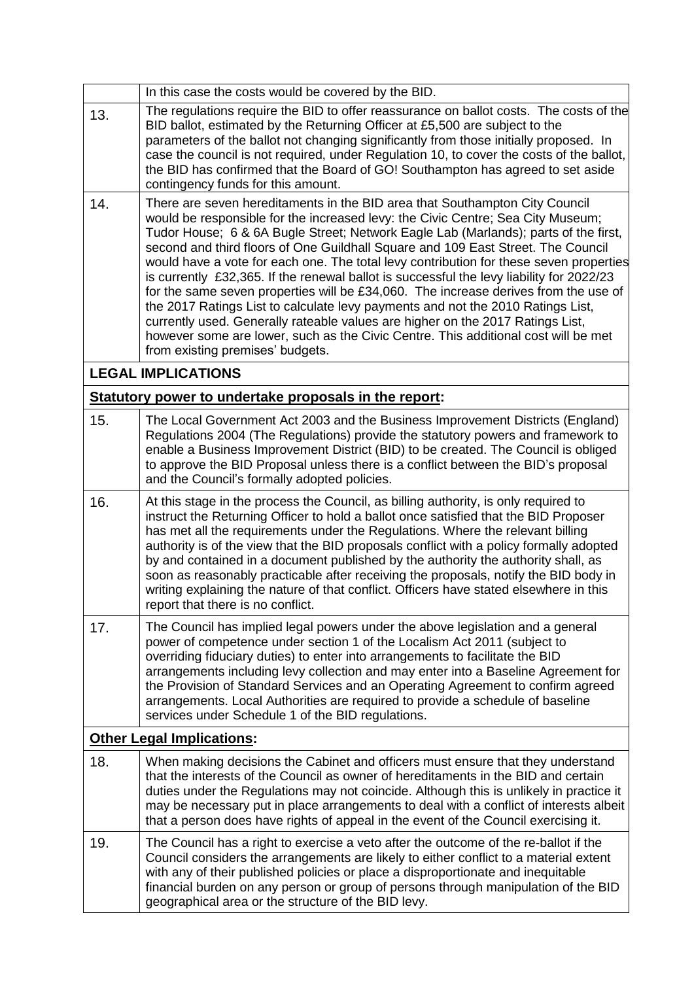|     | In this case the costs would be covered by the BID.                                                                                                                                                                                                                                                                                                                                                                                                                                                                                                                                                                                                                                                                                                                                                                                                                                                                   |
|-----|-----------------------------------------------------------------------------------------------------------------------------------------------------------------------------------------------------------------------------------------------------------------------------------------------------------------------------------------------------------------------------------------------------------------------------------------------------------------------------------------------------------------------------------------------------------------------------------------------------------------------------------------------------------------------------------------------------------------------------------------------------------------------------------------------------------------------------------------------------------------------------------------------------------------------|
| 13. | The regulations require the BID to offer reassurance on ballot costs. The costs of the<br>BID ballot, estimated by the Returning Officer at £5,500 are subject to the<br>parameters of the ballot not changing significantly from those initially proposed. In<br>case the council is not required, under Regulation 10, to cover the costs of the ballot,<br>the BID has confirmed that the Board of GO! Southampton has agreed to set aside<br>contingency funds for this amount.                                                                                                                                                                                                                                                                                                                                                                                                                                   |
| 14. | There are seven hereditaments in the BID area that Southampton City Council<br>would be responsible for the increased levy: the Civic Centre; Sea City Museum;<br>Tudor House; 6 & 6A Bugle Street; Network Eagle Lab (Marlands); parts of the first,<br>second and third floors of One Guildhall Square and 109 East Street. The Council<br>would have a vote for each one. The total levy contribution for these seven properties<br>is currently £32,365. If the renewal ballot is successful the levy liability for 2022/23<br>for the same seven properties will be £34,060. The increase derives from the use of<br>the 2017 Ratings List to calculate levy payments and not the 2010 Ratings List,<br>currently used. Generally rateable values are higher on the 2017 Ratings List,<br>however some are lower, such as the Civic Centre. This additional cost will be met<br>from existing premises' budgets. |
|     | <b>LEGAL IMPLICATIONS</b>                                                                                                                                                                                                                                                                                                                                                                                                                                                                                                                                                                                                                                                                                                                                                                                                                                                                                             |
|     | Statutory power to undertake proposals in the report:                                                                                                                                                                                                                                                                                                                                                                                                                                                                                                                                                                                                                                                                                                                                                                                                                                                                 |
| 15. | The Local Government Act 2003 and the Business Improvement Districts (England)<br>Regulations 2004 (The Regulations) provide the statutory powers and framework to<br>enable a Business Improvement District (BID) to be created. The Council is obliged<br>to approve the BID Proposal unless there is a conflict between the BID's proposal<br>and the Council's formally adopted policies.                                                                                                                                                                                                                                                                                                                                                                                                                                                                                                                         |
| 16. | At this stage in the process the Council, as billing authority, is only required to<br>instruct the Returning Officer to hold a ballot once satisfied that the BID Proposer<br>has met all the requirements under the Regulations. Where the relevant billing<br>authority is of the view that the BID proposals conflict with a policy formally adopted<br>by and contained in a document published by the authority the authority shall, as<br>soon as reasonably practicable after receiving the proposals, notify the BID body in<br>writing explaining the nature of that conflict. Officers have stated elsewhere in this<br>report that there is no conflict.                                                                                                                                                                                                                                                  |
| 17. | The Council has implied legal powers under the above legislation and a general<br>power of competence under section 1 of the Localism Act 2011 (subject to<br>overriding fiduciary duties) to enter into arrangements to facilitate the BID<br>arrangements including levy collection and may enter into a Baseline Agreement for<br>the Provision of Standard Services and an Operating Agreement to confirm agreed<br>arrangements. Local Authorities are required to provide a schedule of baseline<br>services under Schedule 1 of the BID regulations.                                                                                                                                                                                                                                                                                                                                                           |
|     | <b>Other Legal Implications:</b>                                                                                                                                                                                                                                                                                                                                                                                                                                                                                                                                                                                                                                                                                                                                                                                                                                                                                      |
| 18. | When making decisions the Cabinet and officers must ensure that they understand<br>that the interests of the Council as owner of hereditaments in the BID and certain<br>duties under the Regulations may not coincide. Although this is unlikely in practice it<br>may be necessary put in place arrangements to deal with a conflict of interests albeit<br>that a person does have rights of appeal in the event of the Council exercising it.                                                                                                                                                                                                                                                                                                                                                                                                                                                                     |
| 19. | The Council has a right to exercise a veto after the outcome of the re-ballot if the<br>Council considers the arrangements are likely to either conflict to a material extent<br>with any of their published policies or place a disproportionate and inequitable<br>financial burden on any person or group of persons through manipulation of the BID<br>geographical area or the structure of the BID levy.                                                                                                                                                                                                                                                                                                                                                                                                                                                                                                        |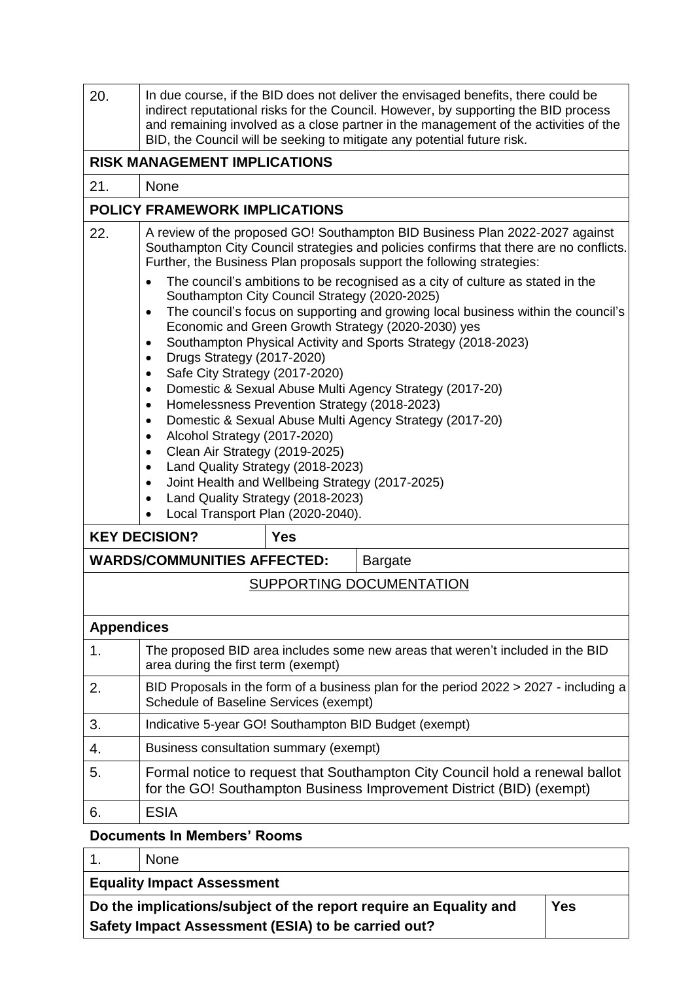| 20.               | In due course, if the BID does not deliver the envisaged benefits, there could be<br>indirect reputational risks for the Council. However, by supporting the BID process<br>and remaining involved as a close partner in the management of the activities of the<br>BID, the Council will be seeking to mitigate any potential future risk. |  |  |  |  |
|-------------------|---------------------------------------------------------------------------------------------------------------------------------------------------------------------------------------------------------------------------------------------------------------------------------------------------------------------------------------------|--|--|--|--|
|                   | <b>RISK MANAGEMENT IMPLICATIONS</b>                                                                                                                                                                                                                                                                                                         |  |  |  |  |
| 21.               | <b>None</b>                                                                                                                                                                                                                                                                                                                                 |  |  |  |  |
|                   | <b>POLICY FRAMEWORK IMPLICATIONS</b>                                                                                                                                                                                                                                                                                                        |  |  |  |  |
| 22.               | A review of the proposed GO! Southampton BID Business Plan 2022-2027 against<br>Southampton City Council strategies and policies confirms that there are no conflicts.<br>Further, the Business Plan proposals support the following strategies:                                                                                            |  |  |  |  |
|                   | The council's ambitions to be recognised as a city of culture as stated in the<br>Southampton City Council Strategy (2020-2025)<br>The council's focus on supporting and growing local business within the council's<br>$\bullet$<br>Economic and Green Growth Strategy (2020-2030) yes                                                     |  |  |  |  |
|                   | Southampton Physical Activity and Sports Strategy (2018-2023)<br>Drugs Strategy (2017-2020)<br>Safe City Strategy (2017-2020)<br>Domestic & Sexual Abuse Multi Agency Strategy (2017-20)<br>$\bullet$                                                                                                                                       |  |  |  |  |
|                   | Homelessness Prevention Strategy (2018-2023)<br>$\bullet$                                                                                                                                                                                                                                                                                   |  |  |  |  |
|                   | Domestic & Sexual Abuse Multi Agency Strategy (2017-20)<br>$\bullet$<br>Alcohol Strategy (2017-2020)<br>$\bullet$                                                                                                                                                                                                                           |  |  |  |  |
|                   | Clean Air Strategy (2019-2025)<br>$\bullet$                                                                                                                                                                                                                                                                                                 |  |  |  |  |
|                   | Land Quality Strategy (2018-2023)<br>$\bullet$<br>Joint Health and Wellbeing Strategy (2017-2025)                                                                                                                                                                                                                                           |  |  |  |  |
|                   | Land Quality Strategy (2018-2023)                                                                                                                                                                                                                                                                                                           |  |  |  |  |
|                   | Local Transport Plan (2020-2040).                                                                                                                                                                                                                                                                                                           |  |  |  |  |
|                   | <b>KEY DECISION?</b><br><b>Yes</b>                                                                                                                                                                                                                                                                                                          |  |  |  |  |
|                   | <b>WARDS/COMMUNITIES AFFECTED:</b><br><b>Bargate</b>                                                                                                                                                                                                                                                                                        |  |  |  |  |
|                   | SUPPORTING DOCUMENTATION                                                                                                                                                                                                                                                                                                                    |  |  |  |  |
| <b>Appendices</b> |                                                                                                                                                                                                                                                                                                                                             |  |  |  |  |
| 1.                | The proposed BID area includes some new areas that weren't included in the BID<br>area during the first term (exempt)                                                                                                                                                                                                                       |  |  |  |  |
| 2.                | BID Proposals in the form of a business plan for the period $2022 > 2027$ - including a<br>Schedule of Baseline Services (exempt)                                                                                                                                                                                                           |  |  |  |  |
| 3.                | Indicative 5-year GO! Southampton BID Budget (exempt)                                                                                                                                                                                                                                                                                       |  |  |  |  |
| 4.                | Business consultation summary (exempt)                                                                                                                                                                                                                                                                                                      |  |  |  |  |
| 5.                | Formal notice to request that Southampton City Council hold a renewal ballot<br>for the GO! Southampton Business Improvement District (BID) (exempt)                                                                                                                                                                                        |  |  |  |  |
| 6.                | <b>ESIA</b>                                                                                                                                                                                                                                                                                                                                 |  |  |  |  |
|                   | <b>Documents In Members' Rooms</b>                                                                                                                                                                                                                                                                                                          |  |  |  |  |

## 1. None **Equality Impact Assessment Do the implications/subject of the report require an Equality and Safety Impact Assessment (ESIA) to be carried out? Yes**